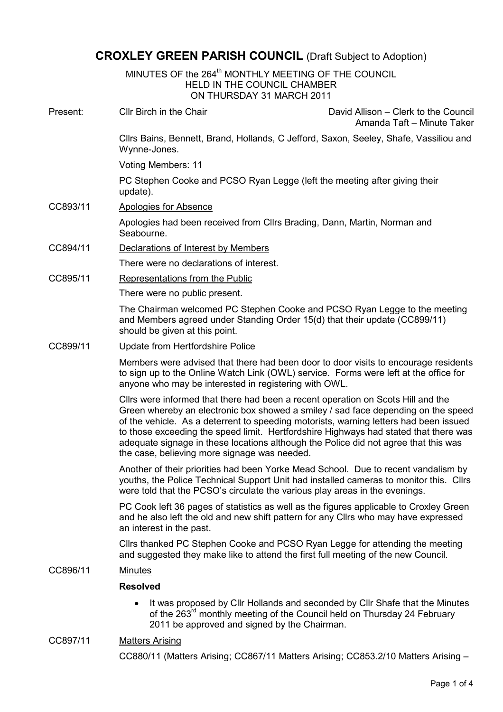# CROXLEY GREEN PARISH COUNCIL (Draft Subject to Adoption)

MINUTES OF the 264<sup>th</sup> MONTHLY MEETING OF THE COUNCIL HELD IN THE COUNCIL CHAMBER ON THURSDAY 31 MARCH 2011

| Present: | Cllr Birch in the Chair                                                                                                                                                                                                                                                                                                                                                                                                                                                                       | David Allison – Clerk to the Council<br>Amanda Taft - Minute Taker |
|----------|-----------------------------------------------------------------------------------------------------------------------------------------------------------------------------------------------------------------------------------------------------------------------------------------------------------------------------------------------------------------------------------------------------------------------------------------------------------------------------------------------|--------------------------------------------------------------------|
|          | Cllrs Bains, Bennett, Brand, Hollands, C Jefford, Saxon, Seeley, Shafe, Vassiliou and<br>Wynne-Jones.                                                                                                                                                                                                                                                                                                                                                                                         |                                                                    |
|          | Voting Members: 11                                                                                                                                                                                                                                                                                                                                                                                                                                                                            |                                                                    |
|          | PC Stephen Cooke and PCSO Ryan Legge (left the meeting after giving their<br>update).                                                                                                                                                                                                                                                                                                                                                                                                         |                                                                    |
| CC893/11 | <b>Apologies for Absence</b>                                                                                                                                                                                                                                                                                                                                                                                                                                                                  |                                                                    |
|          | Apologies had been received from Cllrs Brading, Dann, Martin, Norman and<br>Seabourne.                                                                                                                                                                                                                                                                                                                                                                                                        |                                                                    |
| CC894/11 | Declarations of Interest by Members                                                                                                                                                                                                                                                                                                                                                                                                                                                           |                                                                    |
|          | There were no declarations of interest.                                                                                                                                                                                                                                                                                                                                                                                                                                                       |                                                                    |
| CC895/11 | Representations from the Public                                                                                                                                                                                                                                                                                                                                                                                                                                                               |                                                                    |
|          | There were no public present.                                                                                                                                                                                                                                                                                                                                                                                                                                                                 |                                                                    |
|          | The Chairman welcomed PC Stephen Cooke and PCSO Ryan Legge to the meeting<br>and Members agreed under Standing Order 15(d) that their update (CC899/11)<br>should be given at this point.                                                                                                                                                                                                                                                                                                     |                                                                    |
| CC899/11 | Update from Hertfordshire Police                                                                                                                                                                                                                                                                                                                                                                                                                                                              |                                                                    |
|          | Members were advised that there had been door to door visits to encourage residents<br>to sign up to the Online Watch Link (OWL) service. Forms were left at the office for<br>anyone who may be interested in registering with OWL.                                                                                                                                                                                                                                                          |                                                                    |
|          | Cllrs were informed that there had been a recent operation on Scots Hill and the<br>Green whereby an electronic box showed a smiley / sad face depending on the speed<br>of the vehicle. As a deterrent to speeding motorists, warning letters had been issued<br>to those exceeding the speed limit. Hertfordshire Highways had stated that there was<br>adequate signage in these locations although the Police did not agree that this was<br>the case, believing more signage was needed. |                                                                    |
|          | Another of their priorities had been Yorke Mead School. Due to recent vandalism by<br>youths, the Police Technical Support Unit had installed cameras to monitor this. Clirs<br>were told that the PCSO's circulate the various play areas in the evenings.                                                                                                                                                                                                                                   |                                                                    |
|          | PC Cook left 36 pages of statistics as well as the figures applicable to Croxley Green<br>and he also left the old and new shift pattern for any Clirs who may have expressed<br>an interest in the past.                                                                                                                                                                                                                                                                                     |                                                                    |
|          | Cllrs thanked PC Stephen Cooke and PCSO Ryan Legge for attending the meeting<br>and suggested they make like to attend the first full meeting of the new Council.                                                                                                                                                                                                                                                                                                                             |                                                                    |
| CC896/11 | <b>Minutes</b>                                                                                                                                                                                                                                                                                                                                                                                                                                                                                |                                                                    |
|          | <b>Resolved</b>                                                                                                                                                                                                                                                                                                                                                                                                                                                                               |                                                                    |

• It was proposed by Cllr Hollands and seconded by Cllr Shafe that the Minutes of the 263<sup>rd</sup> monthly meeting of the Council held on Thursday 24 February 2011 be approved and signed by the Chairman.

# CC897/11 Matters Arising

CC880/11 (Matters Arising; CC867/11 Matters Arising; CC853.2/10 Matters Arising –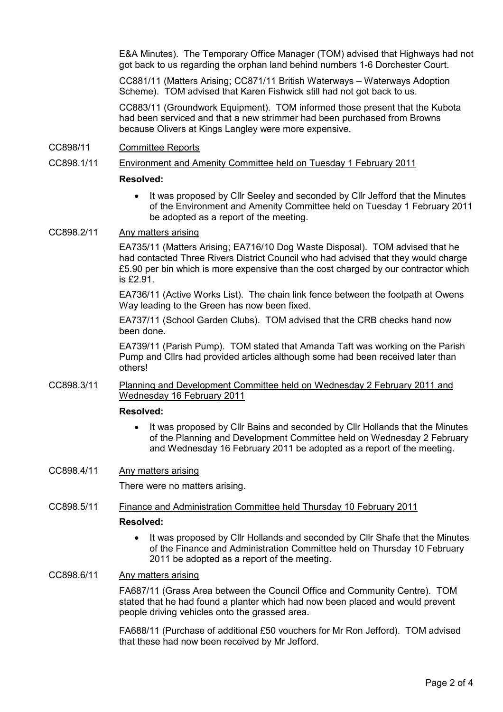E&A Minutes). The Temporary Office Manager (TOM) advised that Highways had not got back to us regarding the orphan land behind numbers 1-6 Dorchester Court.

CC881/11 (Matters Arising; CC871/11 British Waterways – Waterways Adoption Scheme). TOM advised that Karen Fishwick still had not got back to us.

CC883/11 (Groundwork Equipment). TOM informed those present that the Kubota had been serviced and that a new strimmer had been purchased from Browns because Olivers at Kings Langley were more expensive.

# CC898/11 Committee Reports

# CC898.1/11 Environment and Amenity Committee held on Tuesday 1 February 2011

### Resolved:

• It was proposed by Cllr Seeley and seconded by Cllr Jefford that the Minutes of the Environment and Amenity Committee held on Tuesday 1 February 2011 be adopted as a report of the meeting.

# CC898.2/11 Any matters arising

EA735/11 (Matters Arising; EA716/10 Dog Waste Disposal). TOM advised that he had contacted Three Rivers District Council who had advised that they would charge £5.90 per bin which is more expensive than the cost charged by our contractor which is £2.91.

EA736/11 (Active Works List). The chain link fence between the footpath at Owens Way leading to the Green has now been fixed.

EA737/11 (School Garden Clubs). TOM advised that the CRB checks hand now been done.

EA739/11 (Parish Pump). TOM stated that Amanda Taft was working on the Parish Pump and Cllrs had provided articles although some had been received later than others!

CC898.3/11 Planning and Development Committee held on Wednesday 2 February 2011 and Wednesday 16 February 2011

### Resolved:

• It was proposed by Cllr Bains and seconded by Cllr Hollands that the Minutes of the Planning and Development Committee held on Wednesday 2 February and Wednesday 16 February 2011 be adopted as a report of the meeting.

### CC898.4/11 Any matters arising

There were no matters arising.

- CC898.5/11 Finance and Administration Committee held Thursday 10 February 2011 Resolved:
	- It was proposed by Cllr Hollands and seconded by Cllr Shafe that the Minutes of the Finance and Administration Committee held on Thursday 10 February 2011 be adopted as a report of the meeting.

# CC898.6/11 Any matters arising

FA687/11 (Grass Area between the Council Office and Community Centre). TOM stated that he had found a planter which had now been placed and would prevent people driving vehicles onto the grassed area.

FA688/11 (Purchase of additional £50 vouchers for Mr Ron Jefford). TOM advised that these had now been received by Mr Jefford.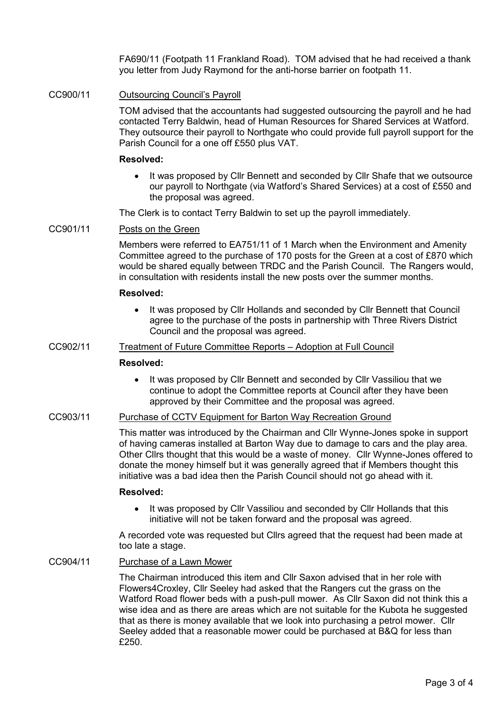FA690/11 (Footpath 11 Frankland Road). TOM advised that he had received a thank you letter from Judy Raymond for the anti-horse barrier on footpath 11.

### CC900/11 Outsourcing Council's Payroll

TOM advised that the accountants had suggested outsourcing the payroll and he had contacted Terry Baldwin, head of Human Resources for Shared Services at Watford. They outsource their payroll to Northgate who could provide full payroll support for the Parish Council for a one off £550 plus VAT.

### Resolved:

• It was proposed by Cllr Bennett and seconded by Cllr Shafe that we outsource our payroll to Northgate (via Watford's Shared Services) at a cost of £550 and the proposal was agreed.

The Clerk is to contact Terry Baldwin to set up the payroll immediately.

# CC901/11 Posts on the Green

Members were referred to EA751/11 of 1 March when the Environment and Amenity Committee agreed to the purchase of 170 posts for the Green at a cost of £870 which would be shared equally between TRDC and the Parish Council. The Rangers would, in consultation with residents install the new posts over the summer months.

#### Resolved:

• It was proposed by Cllr Hollands and seconded by Cllr Bennett that Council agree to the purchase of the posts in partnership with Three Rivers District Council and the proposal was agreed.

# CC902/11 Treatment of Future Committee Reports – Adoption at Full Council

#### Resolved:

• It was proposed by Cllr Bennett and seconded by Cllr Vassiliou that we continue to adopt the Committee reports at Council after they have been approved by their Committee and the proposal was agreed.

# CC903/11 Purchase of CCTV Equipment for Barton Way Recreation Ground

This matter was introduced by the Chairman and Cllr Wynne-Jones spoke in support of having cameras installed at Barton Way due to damage to cars and the play area. Other Cllrs thought that this would be a waste of money. Cllr Wynne-Jones offered to donate the money himself but it was generally agreed that if Members thought this initiative was a bad idea then the Parish Council should not go ahead with it.

#### Resolved:

• It was proposed by Cllr Vassiliou and seconded by Cllr Hollands that this initiative will not be taken forward and the proposal was agreed.

A recorded vote was requested but Cllrs agreed that the request had been made at too late a stage.

### CC904/11 Purchase of a Lawn Mower

The Chairman introduced this item and Cllr Saxon advised that in her role with Flowers4Croxley, Cllr Seeley had asked that the Rangers cut the grass on the Watford Road flower beds with a push-pull mower. As Cllr Saxon did not think this a wise idea and as there are areas which are not suitable for the Kubota he suggested that as there is money available that we look into purchasing a petrol mower. Cllr Seeley added that a reasonable mower could be purchased at B&Q for less than £250.